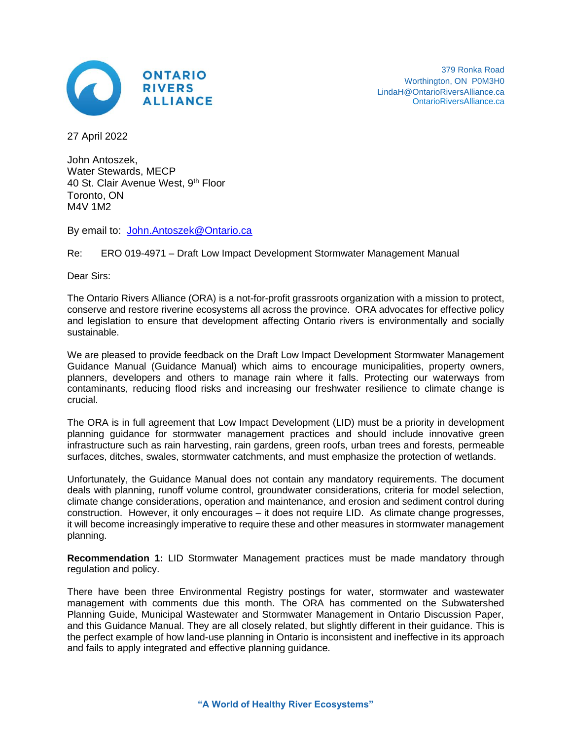

27 April 2022

John Antoszek, Water Stewards, MECP 40 St. Clair Avenue West, 9<sup>th</sup> Floor Toronto, ON M4V 1M2

By email to: [John.Antoszek@Ontario.ca](mailto:John.Antoszek@Ontario.ca)

Re: ERO 019-4971 – Draft Low Impact Development Stormwater Management Manual

Dear Sirs:

The Ontario Rivers Alliance (ORA) is a not-for-profit grassroots organization with a mission to protect, conserve and restore riverine ecosystems all across the province. ORA advocates for effective policy and legislation to ensure that development affecting Ontario rivers is environmentally and socially sustainable.

We are pleased to provide feedback on the Draft Low Impact Development Stormwater Management Guidance Manual (Guidance Manual) which aims to encourage municipalities, property owners, planners, developers and others to manage rain where it falls. Protecting our waterways from contaminants, reducing flood risks and increasing our freshwater resilience to climate change is crucial.

The ORA is in full agreement that Low Impact Development (LID) must be a priority in development planning guidance for stormwater management practices and should include innovative green infrastructure such as rain harvesting, rain gardens, green roofs, urban trees and forests, permeable surfaces, ditches, swales, stormwater catchments, and must emphasize the protection of wetlands.

Unfortunately, the Guidance Manual does not contain any mandatory requirements. The document deals with planning, runoff volume control, groundwater considerations, criteria for model selection, climate change considerations, operation and maintenance, and erosion and sediment control during construction. However, it only encourages – it does not require LID. As climate change progresses, it will become increasingly imperative to require these and other measures in stormwater management planning.

**Recommendation 1:** LID Stormwater Management practices must be made mandatory through regulation and policy.

There have been three Environmental Registry postings for water, stormwater and wastewater management with comments due this month. The ORA has commented on the Subwatershed Planning Guide, Municipal Wastewater and Stormwater Management in Ontario Discussion Paper, and this Guidance Manual. They are all closely related, but slightly different in their guidance. This is the perfect example of how land-use planning in Ontario is inconsistent and ineffective in its approach and fails to apply integrated and effective planning guidance.